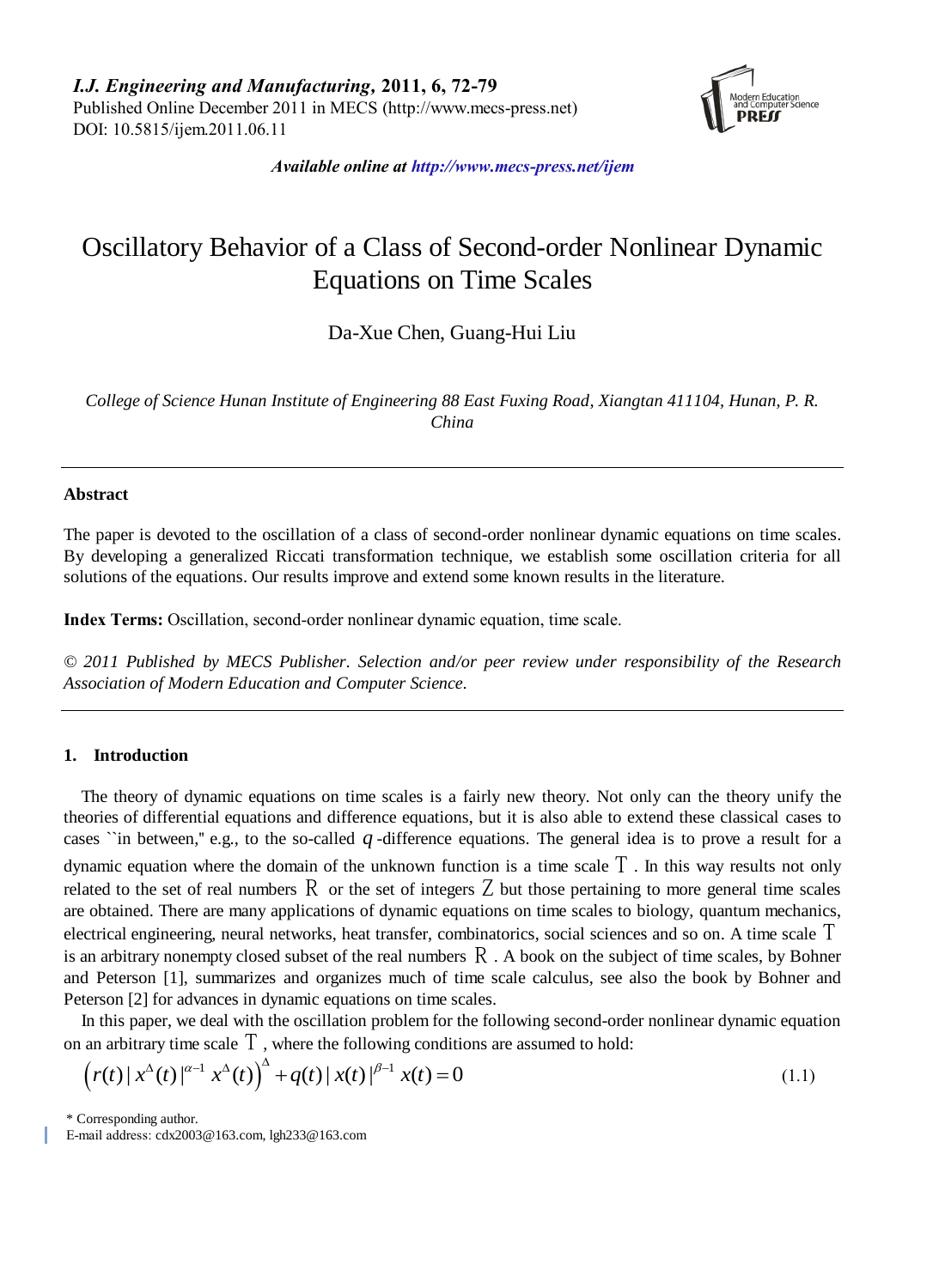*I.J. Engineering and Manufacturing,* **2011, 6, 72-79** Published Online December 2011 in MECS (http://www.mecs-press.net) DOI: 10.5815/ijem.2011.06.11



*Available online at http://www.mecs-press.net/ijem*

# Oscillatory Behavior of a Class of Second-order Nonlinear Dynamic Equations on Time Scales

Da-Xue Chen, Guang-Hui Liu

*College of Science Hunan Institute of Engineering 88 East Fuxing Road, Xiangtan 411104, Hunan, P. R. China*

### **Abstract**

The paper is devoted to the oscillation of a class of second-order nonlinear dynamic equations on time scales. By developing a generalized Riccati transformation technique, we establish some oscillation criteria for all solutions of the equations. Our results improve and extend some known results in the literature.

**Index Terms:** Oscillation, second-order nonlinear dynamic equation, time scale.

*© 2011 Published by MECS Publisher. Selection and/or peer review under responsibility of the Research Association of Modern Education and Computer Science.*

## **1. Introduction**

The theory of dynamic equations on time scales is a fairly new theory. Not only can the theory unify the theories of differential equations and difference equations, but it is also able to extend these classical cases to cases "in between," e.g., to the so-called  $q$ -difference equations. The general idea is to prove a result for a dynamic equation where the domain of the unknown function is a time scale  $T$ . In this way results not only related to the set of real numbers  $\overline{R}$  or the set of integers  $\overline{Z}$  but those pertaining to more general time scales are obtained. There are many applications of dynamic equations on time scales to biology, quantum mechanics, electrical engineering, neural networks, heat transfer, combinatorics, social sciences and so on. A time scale  $T$ is an arbitrary nonempty closed subset of the real numbers  $\overline{R}$ . A book on the subject of time scales, by Bohner and Peterson [1], summarizes and organizes much of time scale calculus, see also the book by Bohner and Peterson [2] for advances in dynamic equations on time scales.

In this paper, we deal with the oscillation problem for the following second-order nonlinear dynamic equation

on an arbitrary time scale 
$$
\overline{T}
$$
, where the following conditions are assumed to hold:  
\n
$$
\left(r(t) | x^{\Delta}(t) |^{\alpha-1} x^{\Delta}(t)\right)^{\Delta} + q(t) | x(t) |^{\beta-1} x(t) = 0
$$
\n(1.1)

\* Corresponding author.

E-mail address: cdx2003@163.com, lgh233@163.com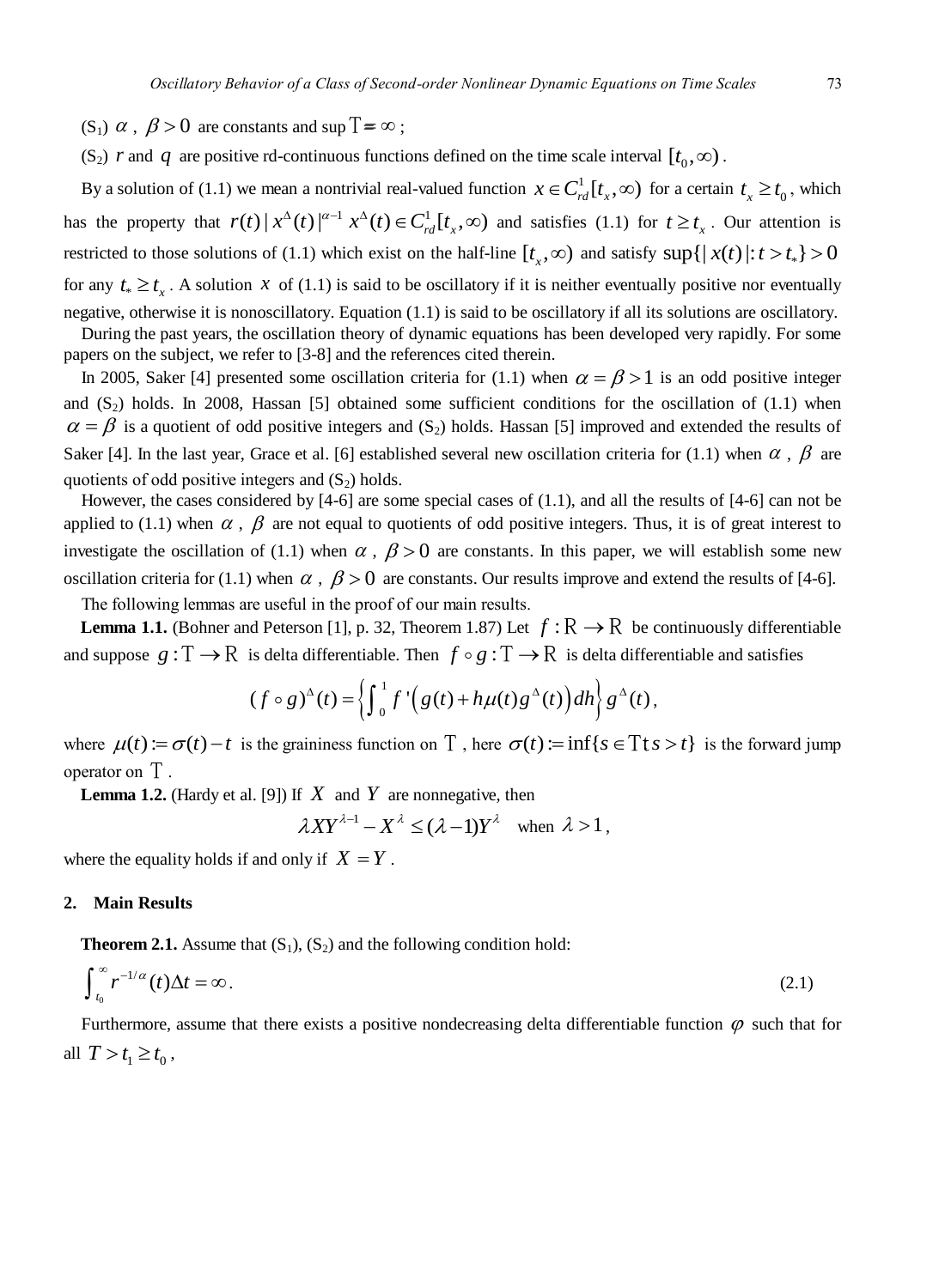- (S<sub>1</sub>)  $\alpha$ ,  $\beta > 0$  are constants and sup  $T = \infty$ ;
- $(S_2)$  *r* and *q* are positive rd-continuous functions defined on the time scale interval  $[t_0, \infty)$ .

By a solution of (1.1) we mean a nontrivial real-valued function  $x \in C_{rd}^1[t_x, \infty)$  for a certain  $t_x \ge t_0$ , which by a solution of (1.1) we mean a nontrivial real-valued function  $x \in C_{rd}[t_x, \infty)$  for a certain  $t_x \ge t_0$ , which<br>has the property that  $r(t) |x^{\Delta}(t)|^{\alpha-1} x^{\Delta}(t) \in C_{rd}^1[t_x, \infty)$  and satisfies (1.1) for  $t \ge t_x$ . Our attenti restricted to those solutions of (1.1) which exist on the half-line  $[t_x, \infty)$  and satisfy  $\sup\{|x(t)|: t > t_*\} > 0$ for any  $t_* \geq t_x$ . A solution *x* of (1.1) is said to be oscillatory if it is neither eventually positive nor eventually negative, otherwise it is nonoscillatory. Equation (1.1) is said to be oscillatory if all its solutions are oscillatory.

During the past years, the oscillation theory of dynamic equations has been developed very rapidly. For some papers on the subject, we refer to [3-8] and the references cited therein.

In 2005, Saker [4] presented some oscillation criteria for (1.1) when  $\alpha = \beta > 1$  is an odd positive integer and  $(S_2)$  holds. In 2008, Hassan [5] obtained some sufficient conditions for the oscillation of (1.1) when  $\alpha = \beta$  is a quotient of odd positive integers and (S<sub>2</sub>) holds. Hassan [5] improved and extended the results of Saker [4]. In the last year, Grace et al. [6] established several new oscillation criteria for (1.1) when  $\alpha$ ,  $\beta$  are quotients of odd positive integers and  $(S_2)$  holds.

However, the cases considered by [4-6] are some special cases of (1.1), and all the results of [4-6] can not be applied to (1.1) when  $\alpha$ ,  $\beta$  are not equal to quotients of odd positive integers. Thus, it is of great interest to investigate the oscillation of (1.1) when  $\alpha$ ,  $\beta > 0$  are constants. In this paper, we will establish some new oscillation criteria for (1.1) when  $\alpha$ ,  $\beta > 0$  are constants. Our results improve and extend the results of [4-6].

The following lemmas are useful in the proof of our main results.

**Lemma 1.1.** (Bohner and Peterson [1], p. 32, Theorem 1.87) Let  $f : \mathbb{R} \to \mathbb{R}$  be continuously differentiable

and suppose 
$$
g: T \to R
$$
 is delta differentiable. Then  $f \circ g: T \to R$  is delta differentiable and satisfies  
\n
$$
(f \circ g)^{\Delta}(t) = \left\{ \int_0^1 f' \Big(g(t) + h\mu(t)g^{\Delta}(t)\Big) dh \right\} g^{\Delta}(t),
$$

where  $\mu(t) := \sigma(t) - t$  is the graininess function on  $\Gamma$ , here  $\sigma(t) := \inf\{s \in \Gamma \mid s > t\}$  is the forward jump operator on T.

**Lemma 1.2.** (Hardy et al. [9]) If  $X$  and  $Y$  are nonnegative, then

$$
\lambda XY^{\lambda-1} - X^{\lambda} \le (\lambda - 1)Y^{\lambda} \quad \text{when } \lambda > 1,
$$

where the equality holds if and only if  $X = Y$ .

# **2. Main Results**

**Theorem 2.1.** Assume that  $(S_1)$ ,  $(S_2)$  and the following condition hold:

$$
\int_{t_0}^{\infty} r^{-1/\alpha}(t) \Delta t = \infty. \tag{2.1}
$$

Furthermore, assume that there exists a positive nondecreasing delta differentiable function  $\varphi$  such that for all  $T > t_1 \ge t_0$ ,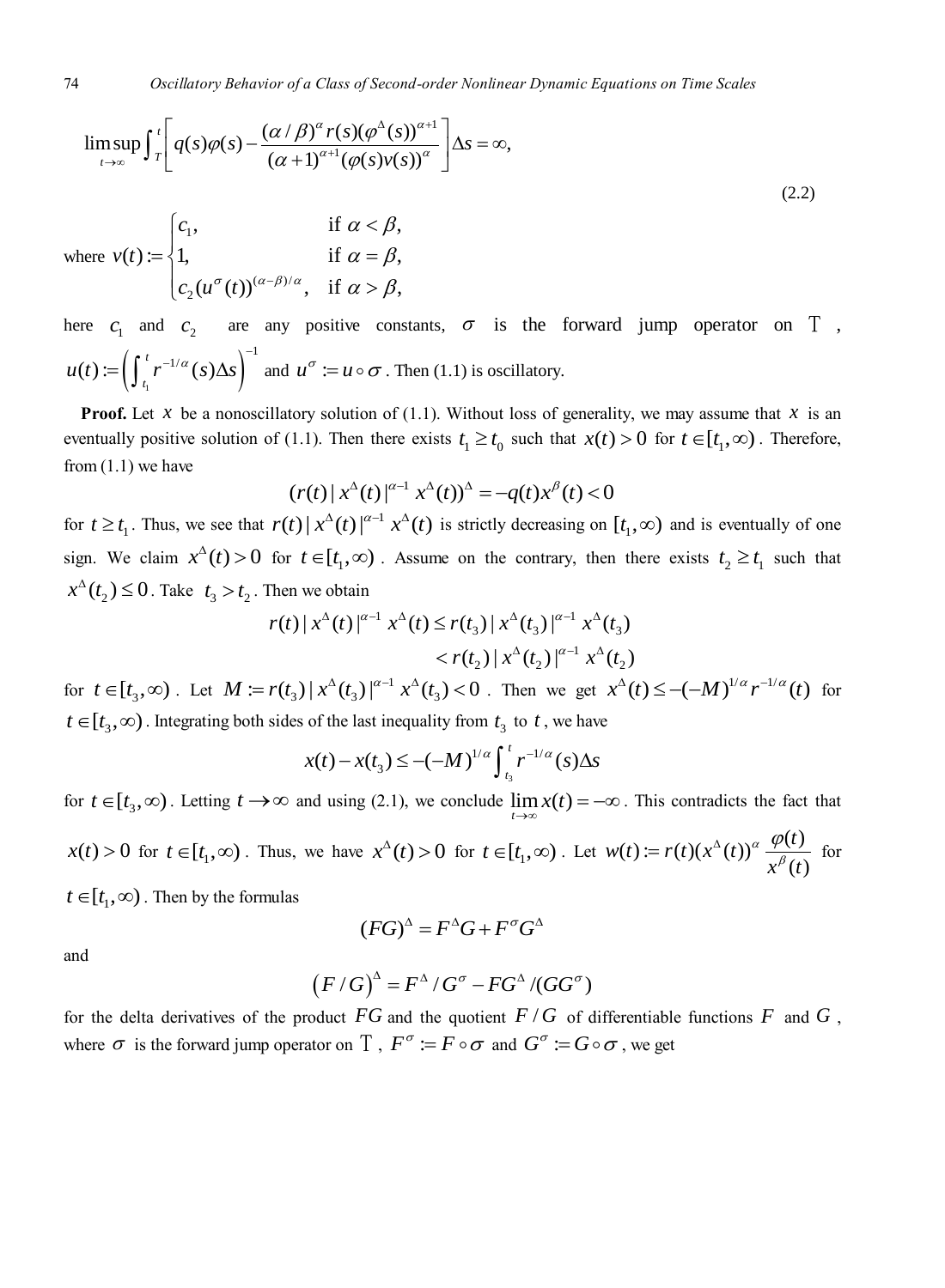74 *Oscillatory Behavior of a Class of Second-order Nonlinear Dynamic Equations on Time Scales*  
\n
$$
\limsup_{t \to \infty} \int_{T}^{t} \left[ q(s) \varphi(s) - \frac{(\alpha/\beta)^{\alpha} r(s) (\varphi^{\Delta}(s))^{\alpha+1}}{(\alpha+1)^{\alpha+1} (\varphi(s)v(s))^{\alpha}} \right] \Delta s = \infty,
$$
\n(2.2)  
\nwhere  $v(t) := \begin{cases} c_1, & \text{if } \alpha < \beta, \\ 1, & \text{if } \alpha = \beta, \\ c_2(u^{\sigma}(t))^{(\alpha-\beta)/\alpha}, & \text{if } \alpha > \beta, \end{cases}$ 

here  $c_1$  and  $c_2$  are any positive constants,  $\sigma$  is the forward jump operator on  $T$ ,  $\left(\int_{t_1} r^{-\alpha} (s) \Delta s\right)$  $\mathcal{L}(t) := \left( \int_{0}^{t} r^{-1/\alpha} (s) \Delta s \right)^{-1}$  $u(t) := \left(\int_{t_1}^t r^{-1/\alpha}(s) \Delta s\right)^{-1}$  and  $u^{\sigma} := u \circ \sigma$ . Then (1.1) is oscillatory.

**Proof.** Let x be a nonoscillatory solution of (1.1). Without loss of generality, we may assume that x is an eventually positive solution of (1.1). Then there exists  $t_1 \ge t_0$  such that  $x(t) > 0$  for  $t \in [t_1, \infty)$ . Therefore, from  $(1.1)$  we have  $=-q(t)x^{\beta}(t) < 0$ 

$$
(r(t) | x^{\Delta}(t) |^{\alpha-1} x^{\Delta}(t))^{\Delta} = -q(t) x^{\beta}(t) < 0
$$

for  $t \ge t_1$ . Thus, we see that  $r(t) | x^{\Delta}(t) |^{\alpha-1} x^{\Delta}(t)$  is strictly decreasing on  $[t_1, \infty)$  and is eventually of one sign. We claim  $x^{\Delta}(t) > 0$  for  $t \in [t_1, \infty)$ . Assume on the contrary, then there exists  $t_2 \ge t_1$  such that  $x^{\Delta}(t_2) \le 0$ . Take  $t_3 > t_2$ . Then we obtain<br> $r(t) |x^{\Delta}(t)|^{\alpha-1} x^{\Delta}(t) \le r(t_3) |x^{\Delta}(t_3)|^{\alpha-1} x^{\Delta}(t_3)$ 

Then we obtain  
\n
$$
r(t) |x^{\Delta}(t)|^{\alpha-1} x^{\Delta}(t) \leq r(t_3) |x^{\Delta}(t_3)|^{\alpha-1} x^{\Delta}(t_3)
$$
\n
$$
< r(t_2) |x^{\Delta}(t_2)|^{\alpha-1} x^{\Delta}(t_2)
$$

for  $t \in [t_3, \infty)$ . Let  $M := r(t_3) |x^{\Delta}(t_3)|^{\alpha-1}$  $M := r(t_3) |x^{\Delta}(t_3)|^{\alpha-1} x^{\Delta}(t_3) < 0$ . Then we get  $x^{\Delta}(t) \le -(-M)^{1/\alpha} r^{-1/\alpha}(t)$  for  $t \in [t_3, \infty)$ . Integrating both sides of the last inequality from  $t_3$  to  $t$ , we have<br>  $x(t) - x(t_3) \le -(-M)^{1/\alpha} \int_{t_3}^t r^{-1/\alpha}(s) \Delta s$ 

$$
x(t) - x(t_3) \le -(-M)^{1/\alpha} \int_{t_3}^t r^{-1/\alpha}(s) \Delta s
$$

for  $t \in [t_3, \infty)$ . Letting  $t \to \infty$  and using (2.1), we conclude  $\lim_{t \to \infty} x(t) = -\infty$ . This contradicts the fact that

 $f(x(t)) > 0$  for  $t \in [t_1, \infty)$ . Thus, we have  $x^{\Delta}(t) > 0$  for  $t \in [t_1, \infty)$ . Let  $w(t) := r(t)(x^{\Delta}(t))^{\alpha} \frac{\varphi(t)}{x^{\beta}(t)}$  $\frac{1}{t}$  $w(t) := r(t)(x^{\Delta}(t))^{\alpha} \frac{\varphi(t)}{\beta}$  $\frac{\partial}{\partial x^{\beta}}(t)$  $= r(t)(x^{\Delta}(t))^{\alpha} \frac{\varphi(t)}{t^{\alpha}}$  for

 $t \in [t_1, \infty)$ . Then by the formulas

$$
(FG)^{\Delta} = F^{\Delta}G + F^{\sigma}G^{\Delta}
$$

and

$$
(F/G)^{\hat{}} = F^{\hat{}} / G^{\sigma} - FG^{\hat{}} / (GG^{\sigma})
$$

for the delta derivatives of the product  $FG$  and the quotient  $F/G$  of differentiable functions  $F$  and  $G$ , where  $\sigma$  is the forward jump operator on  $T$ ,  $F^{\sigma} := F \circ \sigma$  and  $G^{\sigma} := G \circ \sigma$ , we get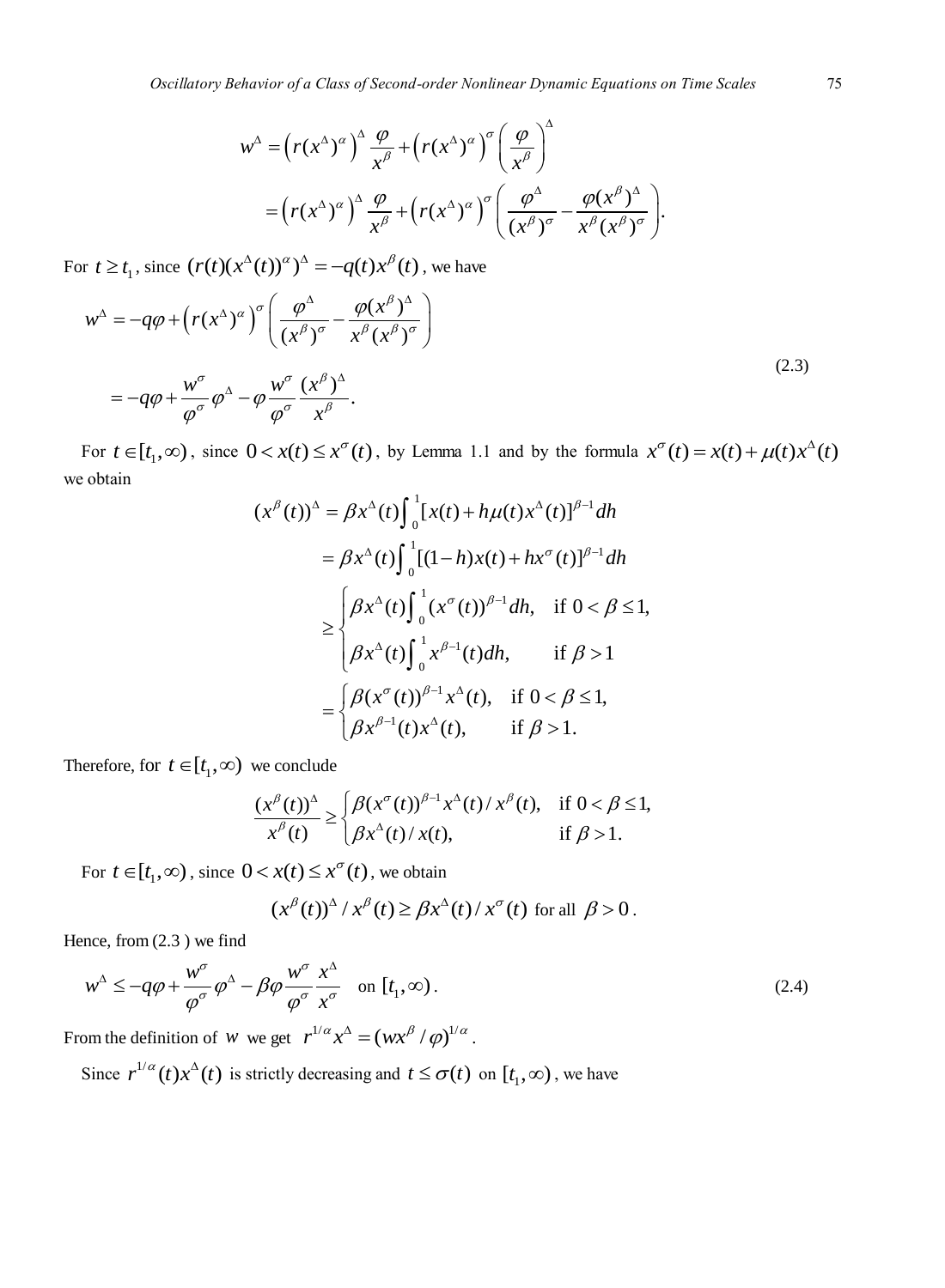Oscillatory Behavior of a Class of Second-order Nonlinear Dynamic Equations on Time Scales  
\n
$$
w^{\Delta} = \left(r(x^{\Delta})^{\alpha}\right)^{\Delta} \frac{\varphi}{x^{\beta}} + \left(r(x^{\Delta})^{\alpha}\right)^{\sigma} \left(\frac{\varphi}{x^{\beta}}\right)^{\Delta}
$$
\n
$$
= \left(r(x^{\Delta})^{\alpha}\right)^{\Delta} \frac{\varphi}{x^{\beta}} + \left(r(x^{\Delta})^{\alpha}\right)^{\sigma} \left(\frac{\varphi^{\Delta}}{(x^{\beta})^{\sigma}} - \frac{\varphi(x^{\beta})^{\Delta}}{x^{\beta}(x^{\beta})^{\sigma}}\right).
$$
\n(12)

For 
$$
t \ge t_1
$$
, since  $(r(t)(x^{\Delta}(t))^{\alpha})^{\Delta} = -q(t)x^{\beta}(t)$ , we have  
\n
$$
w^{\Delta} = -q\varphi + \left(r(x^{\Delta})^{\alpha}\right)^{\sigma} \left(\frac{\varphi^{\Delta}}{(x^{\beta})^{\sigma}} - \frac{\varphi(x^{\beta})^{\Delta}}{x^{\beta}(x^{\beta})^{\sigma}}\right)
$$
\n
$$
= -q\varphi + \frac{w^{\sigma}}{\varphi^{\sigma}}\varphi^{\Delta} - \varphi \frac{w^{\sigma}}{\varphi^{\sigma}}\frac{(x^{\beta})^{\Delta}}{x^{\beta}}.
$$
\n(2.3)

For  $t \in [t_1, \infty)$ , since  $0 < x(t) \leq x^{\sigma}(t)$ , by Lemma 1.1 and by the formula  $x^{\sigma}(t) = x(t) + \mu(t)x^{\Delta}(t)$ we obtain

$$
(x^{\beta}(t))^{\Delta} = \beta x^{\Delta}(t) \int_0^1 [x(t) + h\mu(t)x^{\Delta}(t)]^{\beta-1} dh
$$
  
\n
$$
= \beta x^{\Delta}(t) \int_0^1 [(1-h)x(t) + hx^{\sigma}(t)]^{\beta-1} dh
$$
  
\n
$$
\geq \begin{cases} \beta x^{\Delta}(t) \int_0^1 (x^{\sigma}(t))^{\beta-1} dh, & \text{if } 0 < \beta \leq 1, \\ \beta x^{\Delta}(t) \int_0^1 x^{\beta-1}(t) dh, & \text{if } \beta > 1 \end{cases}
$$
  
\n
$$
= \begin{cases} \beta (x^{\sigma}(t))^{\beta-1} x^{\Delta}(t), & \text{if } 0 < \beta \leq 1, \\ \beta x^{\beta-1}(t) x^{\Delta}(t), & \text{if } \beta > 1. \end{cases}
$$

Therefore, for  $t \in [t_1, \infty)$  we conclude

we conclude  
\n
$$
\frac{(x^{\beta}(t))^{\Delta}}{x^{\beta}(t)} \ge \begin{cases} \beta(x^{\sigma}(t))^{\beta-1} x^{\Delta}(t) / x^{\beta}(t), & \text{if } 0 < \beta \le 1, \\ \beta x^{\Delta}(t) / x(t), & \text{if } \beta > 1. \end{cases}
$$

For  $t \in [t_1, \infty)$ , since  $0 < x(t) \leq x^{\sigma}(t)$ , we obtain

$$
(x^{\beta}(t))^{\Delta}/x^{\beta}(t) \ge \beta x^{\Delta}(t)/x^{\sigma}(t) \text{ for all } \beta > 0.
$$

Hence, from (2.3 ) we find

$$
w^{\Delta} \le -q\varphi + \frac{w^{\sigma}}{\varphi^{\sigma}} \varphi^{\Delta} - \beta \varphi \frac{w^{\sigma}}{\varphi^{\sigma}} \frac{x^{\Delta}}{x^{\sigma}} \quad \text{on } [t_1, \infty).
$$
 (2.4)

From the definition of *w* we get  $r^{1/\alpha} x^{\Delta} = (wx^{\beta}/\varphi)^{1/\alpha}$ .

Since  $r^{1/\alpha}(t)x^{\beta}(t)$  is strictly decreasing and  $t \leq \sigma(t)$  on  $[t_1, \infty)$ , we have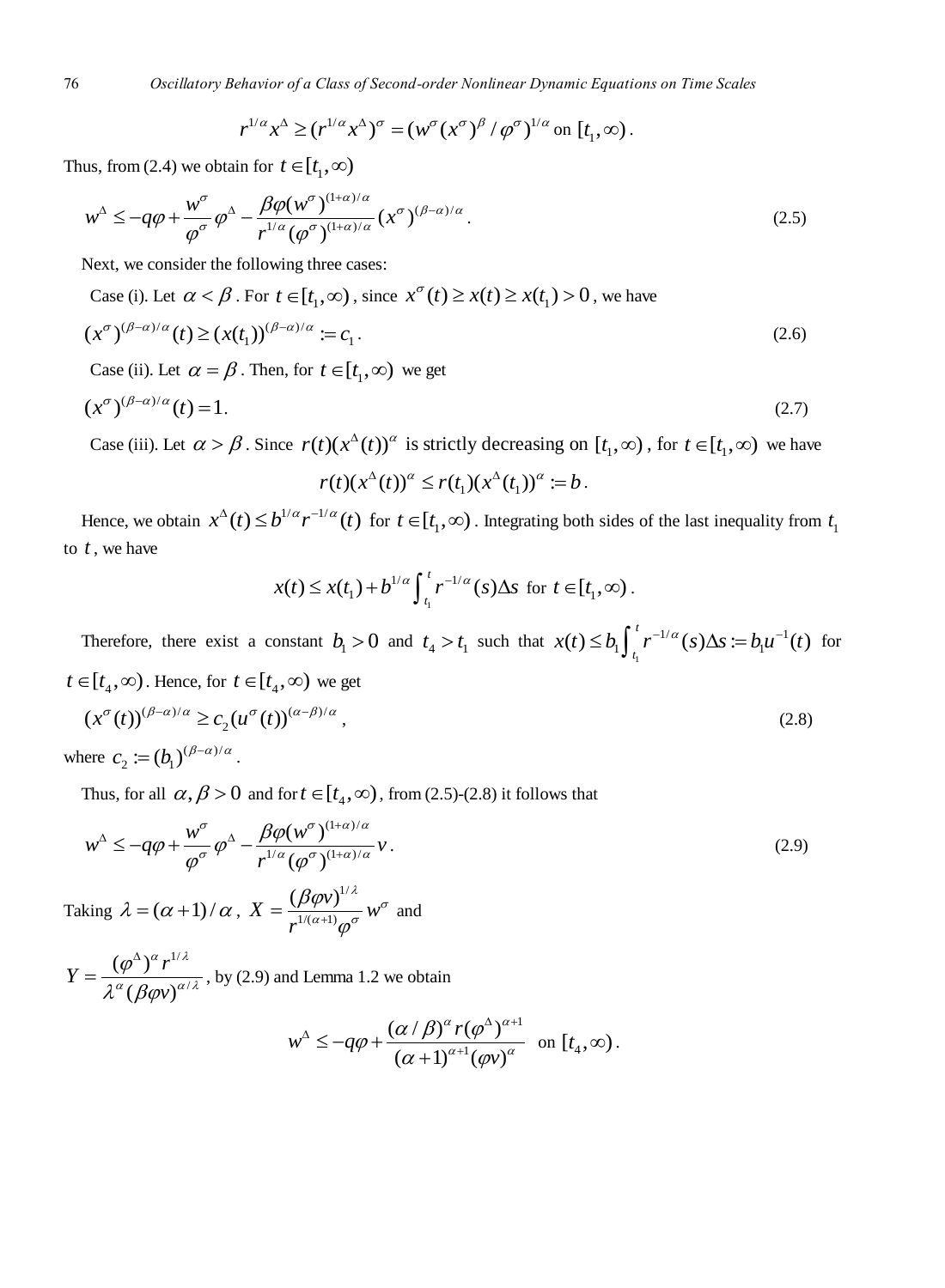$r^{1/\alpha} x^{\Delta} \ge (r^{1/\alpha} x^{\Delta})^{\sigma} = (w^{\sigma} (x^{\sigma})^{\beta} / \varphi^{\sigma})^{1/\alpha}$  on  $[t_1, \infty)$ .

Thus, from (2.4) we obtain for 
$$
t \in [t_1, \infty)
$$
  
\n
$$
w^{\Delta} \le -q\varphi + \frac{w^{\sigma}}{\varphi^{\sigma}} \varphi^{\Delta} - \frac{\beta \varphi(w^{\sigma})^{(1+\alpha)/\alpha}}{r^{1/\alpha} (\varphi^{\sigma})^{(1+\alpha)/\alpha}} (x^{\sigma})^{(\beta-\alpha)/\alpha}.
$$
\n(2.5)

Next, we consider the following three cases:

Case (i). Let 
$$
\alpha < \beta
$$
. For  $t \in [t_1, \infty)$ , since  $x^{\sigma}(t) \ge x(t) \ge x(t_1) > 0$ , we have  
\n
$$
(x^{\sigma})^{(\beta-\alpha)/\alpha}(t) \ge (x(t_1))^{(\beta-\alpha)/\alpha} := c_1.
$$
\n(2.6)

Case (ii). Let  $\alpha = \beta$ . Then, for  $t \in [t_1, \infty)$  we get

$$
(x^{\sigma})^{(\beta-\alpha)/\alpha}(t) = 1. \tag{2.7}
$$

Case (iii). Let  $\alpha > \beta$ . Since  $r(t)(x^{\Delta}(t))^{\alpha}$  is strictly decreasing on  $[t_1, \infty)$ , for  $t \in [t_1, \infty)$  we have

$$
r(t)(x^{\Delta}(t))^{\alpha} \leq r(t_1)(x^{\Delta}(t_1))^{\alpha} := b.
$$

Hence, we obtain  $x^{\Delta}(t) \leq b^{1/\alpha} r^{-1/\alpha}(t)$  for  $t \in [t_1, \infty)$ . Integrating both sides of the last inequality from  $t_1$ to  $t$ , we have

$$
x(t) \leq x(t_1) + b^{1/\alpha} \int_{t_1}^t r^{-1/\alpha}(s) \Delta s \text{ for } t \in [t_1, \infty).
$$

Therefore, there exist a constant  $b_1 > 0$  and  $t_4 > t_1$  such that  $x(t) \le b_1 \int_{t_1}^{t_2} f(t) dt$  $f(t) \le b_1 \int_t^t r^{-1/\alpha}(s) \Delta s := b_1 u^{-1}(t)$  $x(t) \le b_1 \int_{t_1}^t r^{-1/\alpha}(s) \Delta s := b_1 u^{-1}(t)$  for  $t \in [t_4, \infty)$ . Hence, for  $t \in [t_4, \infty)$  we get

$$
(x^{\sigma}(t))^{(\beta-\alpha)/\alpha} \ge c_2 (u^{\sigma}(t))^{(\alpha-\beta)/\alpha},
$$
\n(2.8)

where  $c_2 := (b_1)^{(\beta - \alpha)/\alpha}$ .

Thus, for all 
$$
\alpha, \beta > 0
$$
 and for  $t \in [t_4, \infty)$ , from (2.5)-(2.8) it follows that  
\n
$$
w^{\Delta} \le -q\varphi + \frac{w^{\sigma}}{\varphi^{\sigma}} \varphi^{\Delta} - \frac{\beta \varphi(w^{\sigma})^{(1+\alpha)/\alpha}}{r^{1/\alpha} (\varphi^{\sigma})^{(1+\alpha)/\alpha}} \nu.
$$
\n(2.9)

Taking  $\lambda = (\alpha + 1)/\alpha$ , 1/  $1/(\alpha+1)$  $X = \frac{(\beta \varphi v)^{1/\lambda}}{v^{\alpha+1} \sigma} w$ *r*  $\frac{(\varphi v)^{1/\lambda}}{(\alpha+1)\varphi^{\sigma}}$   $w^{\sigma}$  $\beta\varphi$  $=\frac{\left(\rho\varphi v\right)}{r^{1/(\alpha+1)}\varphi^{\sigma}} w^{\sigma}$  and

1/ /  $(\varphi^{\Delta})$  $(\beta \varphi \nu)$  $Y = \frac{(\varphi^{\Delta})^{\alpha} r}{\sqrt{(\varphi^{\Delta})^{\alpha}}}$ *v*  $\alpha$   $\alpha$ <sup>1/ $\lambda$ </sup>  $a_{\ell} \rho_{\alpha}$  $\varphi$  $\lambda^{\alpha}(\beta\varphi$ Δ  $=\frac{(\varphi \; )}{2\alpha}$ , by (2.9) and Lemma 1.2 we obtain

$$
w^{\Delta} \le -q\varphi + \frac{(\alpha/\beta)^{\alpha}r(\varphi^{\Delta})^{\alpha+1}}{(\alpha+1)^{\alpha+1}(\varphi v)^{\alpha}} \text{ on } [t_4,\infty).
$$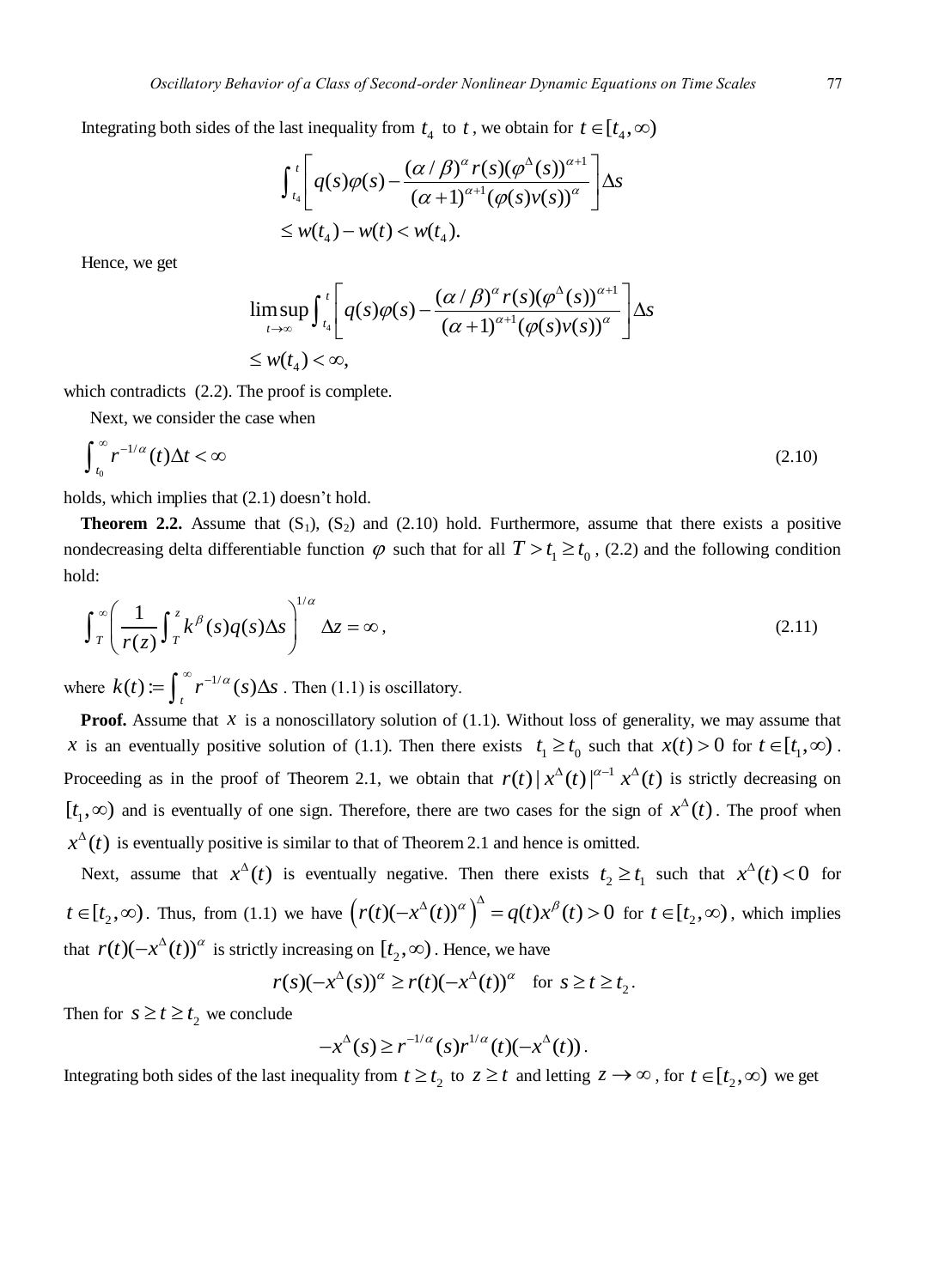Integrating both sides of the last inequality from 
$$
t_4
$$
 to t, we obtain for  $t \in [t_4, \infty)$   

$$
\int_{t_4}^{t} \left[ q(s)\varphi(s) - \frac{(\alpha/\beta)^{\alpha} r(s)(\varphi^{\Delta}(s))^{\alpha+1}}{(\alpha+1)^{\alpha+1}(\varphi(s)v(s))^{\alpha}} \right] \Delta s
$$

$$
\leq w(t_4) - w(t) < w(t_4).
$$

Hence, we get

$$
\limsup_{t\to\infty}\int_{t_4}^t\left[q(s)\varphi(s)-\frac{(\alpha/\beta)^{\alpha}r(s)(\varphi^{\Delta}(s))^{\alpha+1}}{(\alpha+1)^{\alpha+1}(\varphi(s)v(s))^{\alpha}}\right]\Delta s
$$
  
\$\leq w(t\_4)<\infty\$,

which contradicts (2.2). The proof is complete.

Next, we consider the case when

$$
\int_{t_0}^{\infty} r^{-1/\alpha}(t) \Delta t < \infty \tag{2.10}
$$

holds, which implies that (2.1) doesn't hold.

**Theorem 2.2.** Assume that  $(S_1)$ ,  $(S_2)$  and  $(2.10)$  hold. Furthermore, assume that there exists a positive nondecreasing delta differentiable function  $\varphi$  such that for all  $T > t_1 \ge t_0$ , (2.2) and the following condition hold:

$$
\int_{T}^{\infty} \left( \frac{1}{r(z)} \int_{T}^{z} k^{\beta}(s) q(s) \Delta s \right)^{1/\alpha} \Delta z = \infty, \tag{2.11}
$$

where  $k(t) := \int_{t}^{\infty} r^{-1/\alpha}(s) \Delta s$ . Then (1.1) is oscillatory.

**Proof.** Assume that  $x$  is a nonoscillatory solution of (1.1). Without loss of generality, we may assume that x is an eventually positive solution of (1.1). Then there exists  $t_1 \ge t_0$  such that  $x(t) > 0$  for  $t \in [t_1, \infty)$ . Proceeding as in the proof of Theorem 2.1, we obtain that  $r(t) |x^{\Delta}(t)|^{\alpha-1} x^{\Delta}(t)$  is strictly decreasing on  $[t_1, \infty)$  and is eventually of one sign. Therefore, there are two cases for the sign of  $x^{\Delta}(t)$ . The proof when  $x^{\Delta}(t)$  is eventually positive is similar to that of Theorem 2.1 and hence is omitted.

Next, assume that  $x^{\Delta}(t)$  is eventually negative. Then there exists  $t_2 \ge t_1$  such that  $x^{\Delta}(t) < 0$  for  $t \in [t_2, \infty)$ . Thus, from (1.1) we have  $(r(t)(-x^{\Delta}(t))^{\alpha})^{\Delta} = q(t)x^{\beta}(t) > 0$  $(-x^{\Delta}(t))^{\alpha}$   $\Big)^{\Delta} = q(t)x^{\beta}(t) > 0$  for  $t \in [t_2, \infty)$ , which implies that  $r(t)(-x^{\Delta}(t))^{\alpha}$  is strictly increasing on  $[t_2, \infty)$ . Hence, we have<br> $r(s)(-x^{\Delta}(s))^{\alpha} \ge r(t)(-x^{\Delta}(t))^{\alpha}$  for

$$
r(s)(-x^{\Delta}(s))^{\alpha} \ge r(t)(-x^{\Delta}(t))^{\alpha} \text{ for } s \ge t \ge t_2.
$$

Then for  $s \ge t \ge t_2$  we conclude

$$
-x^{\Delta}(s) \geq r^{-1/\alpha}(s)r^{1/\alpha}(t)(-x^{\Delta}(t)).
$$

Integrating both sides of the last inequality from  $t \ge t_2$  to  $z \ge t$  and letting  $z \to \infty$ , for  $t \in [t_2, \infty)$  we get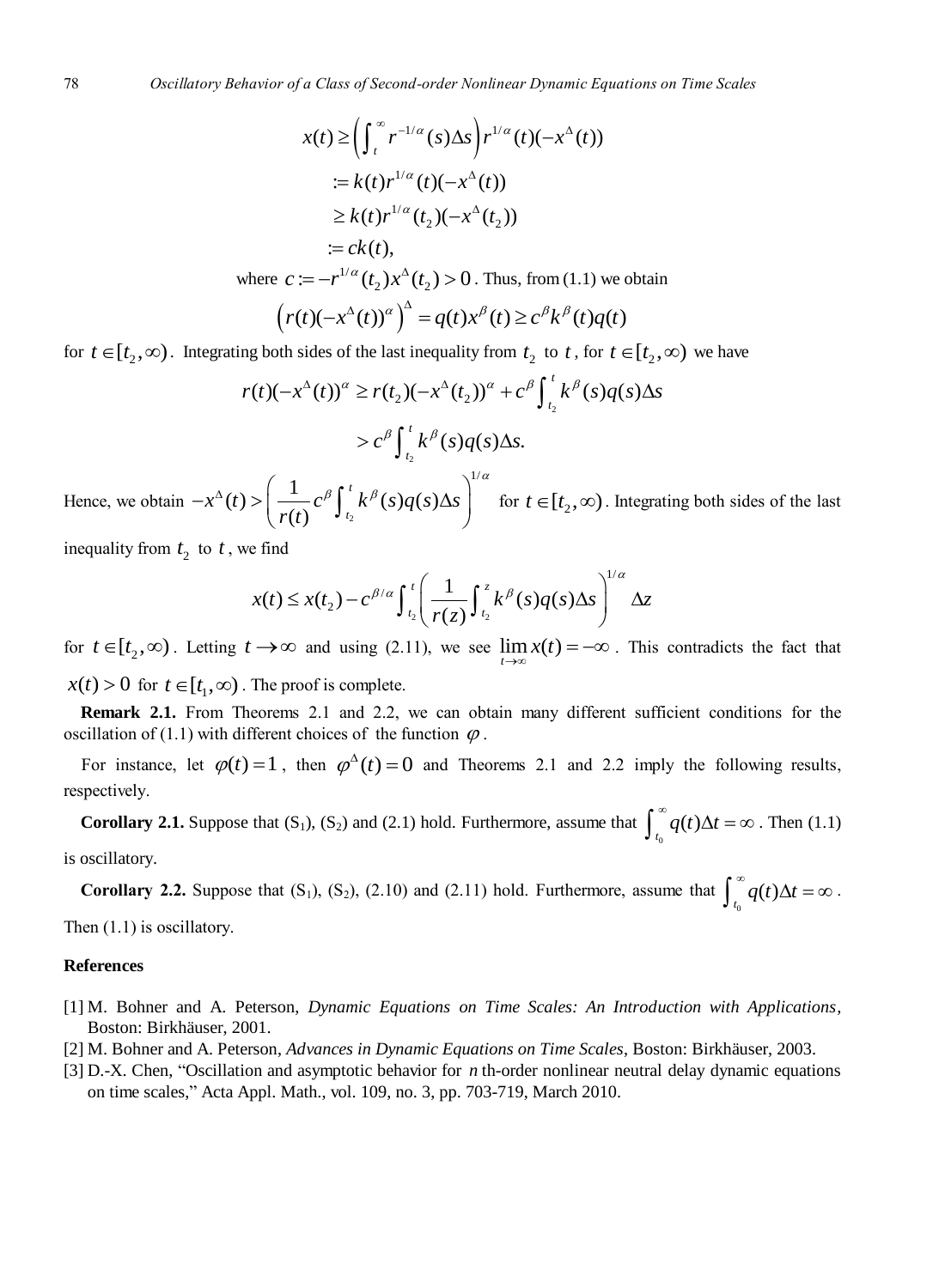$$
x(t) \ge \left(\int_t^{\infty} r^{-1/\alpha}(s) \Delta s\right) r^{1/\alpha}(t) (-x^{\Delta}(t))
$$
  
\n
$$
:= k(t) r^{1/\alpha}(t) (-x^{\Delta}(t))
$$
  
\n
$$
\ge k(t) r^{1/\alpha}(t_2) (-x^{\Delta}(t_2))
$$
  
\n
$$
:= ck(t),
$$
  
\nwhere  $c := -r^{1/\alpha}(t_2) x^{\Delta}(t_2) > 0$ . Thus, from (1.1) we obtain  
\n
$$
\left(r(t) (-x^{\Delta}(t))^{\alpha}\right)^{\Delta} = q(t) x^{\beta}(t) \ge c^{\beta} k^{\beta}(t) q(t)
$$

for 
$$
t \in [t_2, \infty)
$$
. Integrating both sides of the last inequality from  $t_2$  to t, for  $t \in [t_2, \infty)$  we have  
\n
$$
r(t)(-x^{\Delta}(t))^{\alpha} \ge r(t_2)(-x^{\Delta}(t_2))^{\alpha} + c^{\beta} \int_{t_2}^{t} k^{\beta}(s)q(s) \Delta s
$$
\n
$$
> c^{\beta} \int_{t_2}^{t} k^{\beta}(s)q(s) \Delta s.
$$

Hence, we obtain  $-x^{\alpha}(t) > \left(\frac{1}{r(t)}c^{\beta}\right)_{t_2}$  $f(t) > \left(\frac{1}{r(t)}c^{\beta}\int_{t_0}^{t} k^{\beta}(s)q(s)\Delta s\right)^{1/2}$  $\frac{1}{(t)}c^{\beta}\!\int_{t_{2}}^{t}$  $f(x^{\Delta}(t)) > \left(\frac{1}{r(t)}c^{\beta}\int_{t_2}^t k^{\beta}(s)q(s)\Delta s\right)$  $f^{\Delta}(t) > \left(\frac{1}{r(t)}c^{\beta}\int_{t_2}^{t}k^{\beta}(s)q(s)\Delta s\right)^{1/\alpha}$  $-x^{\Delta}(t) > \left(\frac{1}{r(t)}c^{\beta}\int_{t_2}^t k^{\beta}(s)q(s)\Delta s\right)^{1/\alpha}$  fo for  $t \in [t_2, \infty)$ . Integrating both sides of the last

inequality from  $t_2$  to  $t$ , we find

e find  

$$
x(t) \le x(t_2) - c^{\beta/\alpha} \int_{t_2}^t \left( \frac{1}{r(z)} \int_{t_2}^z k^{\beta}(s) q(s) \Delta s \right)^{1/\alpha} \Delta z
$$

for  $t \in [t_2, \infty)$ . Letting  $t \to \infty$  and using (2.11), we see  $\lim_{t \to \infty} x(t) = -\infty$ . This contradicts the fact that  $x(t) > 0$  for  $t \in [t_1, \infty)$ . The proof is complete.

**Remark 2.1.** From Theorems 2.1 and 2.2, we can obtain many different sufficient conditions for the oscillation of (1.1) with different choices of the function  $\varphi$ .

For instance, let  $\varphi(t) = 1$ , then  $\varphi^{\Delta}(t) = 0$  and Theorems 2.1 and 2.2 imply the following results, respectively.

**Corollary 2.1.** Suppose that  $(S_1)$ ,  $(S_2)$  and  $(2.1)$  hold. Furthermore, assume that  $\int_{t_0}^{\infty} q(t) \Delta t = \infty$ . Then  $(1.1)$ is oscillatory.

**Corollary 2.2.** Suppose that  $(S_1)$ ,  $(S_2)$ ,  $(2.10)$  and  $(2.11)$  hold. Furthermore, assume that  $\int_{t_0}^{\infty} q(t) \Delta t = \infty$ . Then (1.1) is oscillatory.

### **References**

- [1] M. Bohner and A. Peterson, *Dynamic Equations on Time Scales: An Introduction with Applications,* Boston: Birkhäuser, 2001.
- [2] M. Bohner and A. Peterson, *Advances in Dynamic Equations on Time Scales*, Boston: Birkhäuser, 2003.
- [3] D.-X. Chen, "Oscillation and asymptotic behavior for *n* th-order nonlinear neutral delay dynamic equations on time scales," Acta Appl. Math., vol. 109, no. 3, pp. 703-719, March 2010.